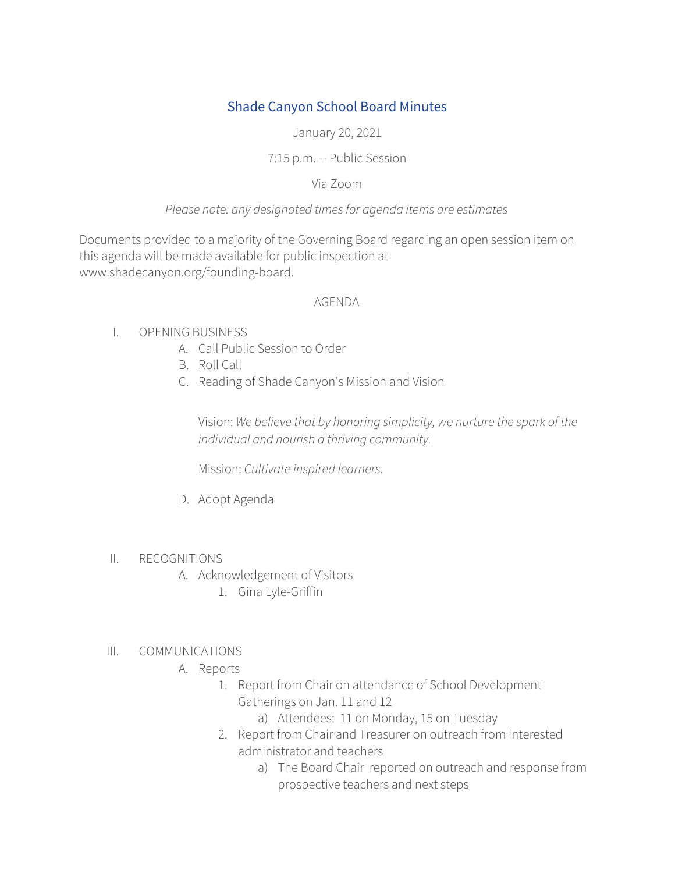# Shade Canyon School Board Minutes

January 20, 2021

## 7:15 p.m. -- Public Session

## Via Zoom

## *Please note: any designated timesfor agenda items are estimates*

Documents provided to a majority of the Governing Board regarding an open session item on this agenda will be made available for public inspection at www.shadecanyon.org/founding-board.

#### AGENDA

- I. OPENING BUSINESS
	- A. Call Public Session to Order
	- B. Roll Call
	- C. Reading of Shade Canyon's Mission and Vision

Vision: *We believe that by honoring simplicity, we nurture the spark of the individual and nourish a thriving community.*

Mission: *Cultivate inspired learners.*

D. Adopt Agenda

#### II. RECOGNITIONS

- A. Acknowledgement of Visitors
	- 1. Gina Lyle-Griffin

#### III. COMMUNICATIONS

- A. Reports
	- 1. Report from Chair on attendance of School Development Gatherings on Jan. 11 and 12
		- a) Attendees: 11 on Monday, 15 on Tuesday
	- 2. Report from Chair and Treasurer on outreach from interested administrator and teachers
		- a) The Board Chair reported on outreach and response from prospective teachers and next steps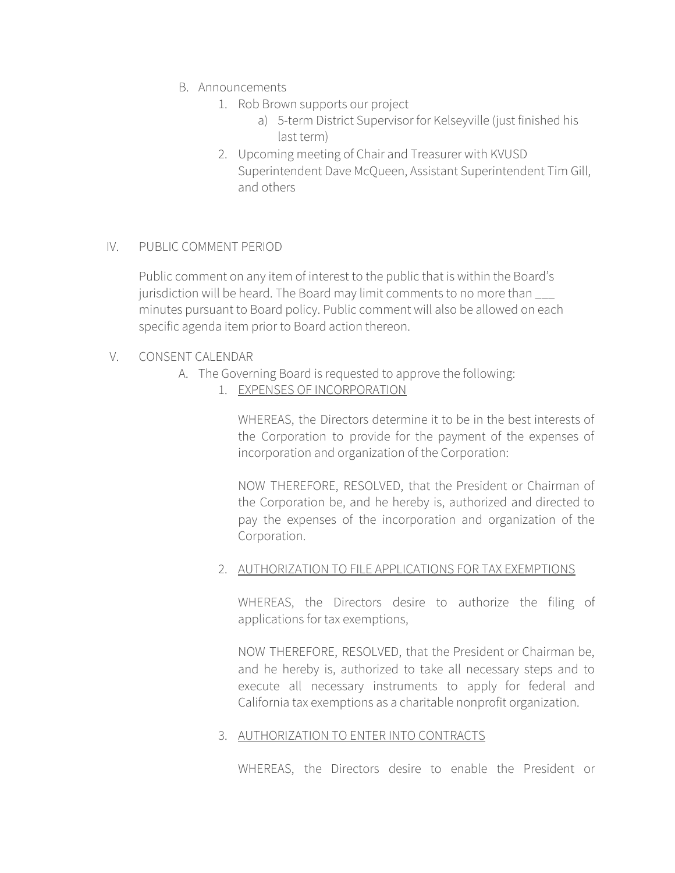- B. Announcements
	- 1. Rob Brown supports our project
		- a) 5-term District Supervisor for Kelseyville (just finished his last term)
	- 2. Upcoming meeting of Chair and Treasurer with KVUSD Superintendent Dave McQueen, Assistant Superintendent Tim Gill, and others

# IV. PUBLIC COMMENT PERIOD

Public comment on any item of interest to the public that is within the Board's jurisdiction will be heard. The Board may limit comments to no more than minutes pursuant to Board policy. Public comment will also be allowed on each specific agenda item prior to Board action thereon.

# V. CONSENT CALENDAR

- A. The Governing Board is requested to approve the following:
	- 1. EXPENSES OF INCORPORATION

WHEREAS, the Directors determine it to be in the best interests of the Corporation to provide for the payment of the expenses of incorporation and organization of the Corporation:

NOW THEREFORE, RESOLVED, that the President or Chairman of the Corporation be, and he hereby is, authorized and directed to pay the expenses of the incorporation and organization of the Corporation.

#### 2. AUTHORIZATION TO FILE APPLICATIONS FOR TAX EXEMPTIONS

WHEREAS, the Directors desire to authorize the filing of applications for tax exemptions,

NOW THEREFORE, RESOLVED, that the President or Chairman be, and he hereby is, authorized to take all necessary steps and to execute all necessary instruments to apply for federal and California tax exemptions as a charitable nonprofit organization.

#### 3. AUTHORIZATION TO ENTER INTO CONTRACTS

WHEREAS, the Directors desire to enable the President or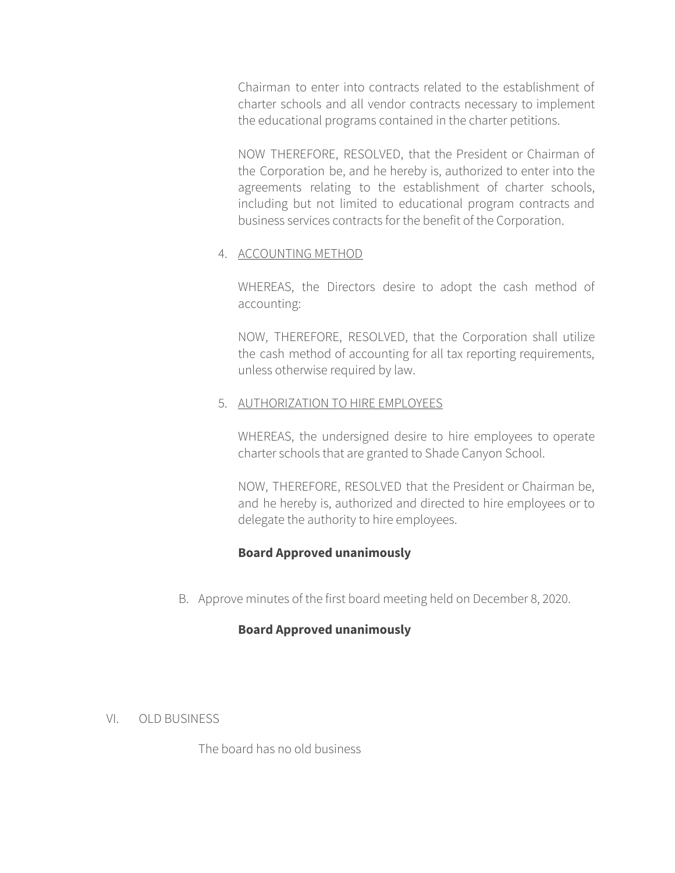Chairman to enter into contracts related to the establishment of charter schools and all vendor contracts necessary to implement the educational programs contained in the charter petitions.

NOW THEREFORE, RESOLVED, that the President or Chairman of the Corporation be, and he hereby is, authorized to enter into the agreements relating to the establishment of charter schools, including but not limited to educational program contracts and business services contracts for the benefit of the Corporation.

#### 4. ACCOUNTING METHOD

WHEREAS, the Directors desire to adopt the cash method of accounting:

NOW, THEREFORE, RESOLVED, that the Corporation shall utilize the cash method of accounting for all tax reporting requirements, unless otherwise required by law.

#### 5. AUTHORIZATION TO HIRE EMPLOYEES

WHEREAS, the undersigned desire to hire employees to operate charter schools that are granted to Shade Canyon School.

NOW, THEREFORE, RESOLVED that the President or Chairman be, and he hereby is, authorized and directed to hire employees or to delegate the authority to hire employees.

# **Board Approved unanimously**

B. Approve minutes of the first board meeting held on December 8, 2020.

# **Board Approved unanimously**

#### VI. OLD BUSINESS

The board has no old business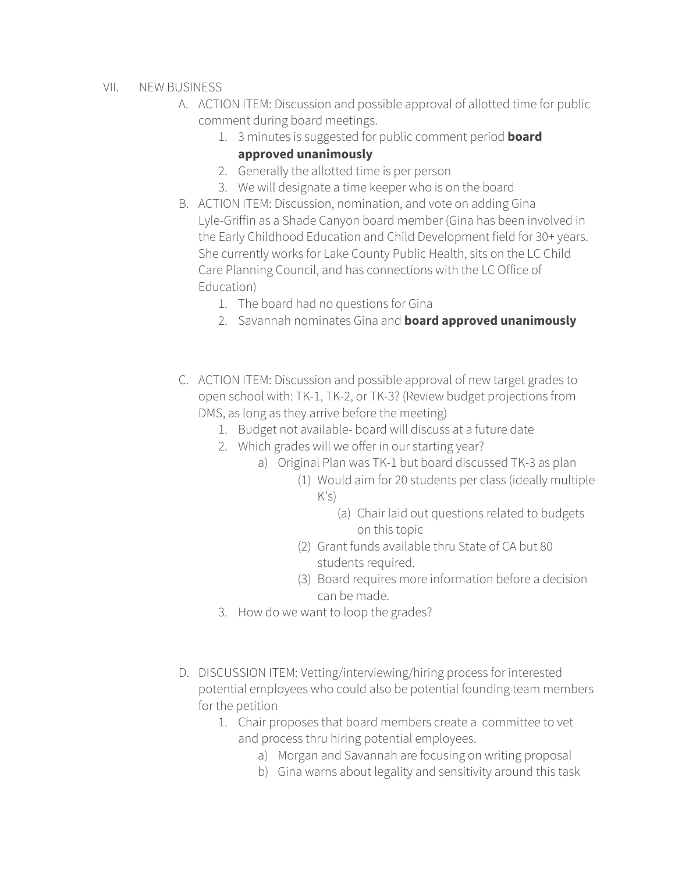- VII. NEW BUSINESS
	- A. ACTION ITEM: Discussion and possible approval of allotted time for public comment during board meetings.
		- 1. 3 minutes is suggested for public comment period **board approved unanimously**
		- 2. Generally the allotted time is per person
		- 3. We will designate a time keeper who is on the board
	- B. ACTION ITEM: Discussion, nomination, and vote on adding Gina Lyle-Griffin as a Shade Canyon board member (Gina has been involved in the Early Childhood Education and Child Development field for 30+ years. She currently works for Lake County Public Health, sits on the LC Child Care Planning Council, and has connections with the LC Office of Education)
		- 1. The board had no questions for Gina
		- 2. Savannah nominates Gina and **board approved unanimously**
	- C. ACTION ITEM: Discussion and possible approval of new target grades to open school with: TK-1, TK-2, or TK-3? (Review budget projections from DMS, as long as they arrive before the meeting)
		- 1. Budget not available- board will discuss at a future date
		- 2. Which grades will we offer in our starting year?
			- a) Original Plan was TK-1 but board discussed TK-3 as plan
				- (1) Would aim for 20 students per class (ideally multiple  $K's$ 
					- (a) Chair laid out questions related to budgets on this topic
				- (2) Grant funds available thru State of CA but 80 students required.
				- (3) Board requires more information before a decision can be made.
		- 3. How do we want to loop the grades?
	- D. DISCUSSION ITEM: Vetting/interviewing/hiring process for interested potential employees who could also be potential founding team members for the petition
		- 1. Chair proposes that board members create a committee to vet and process thru hiring potential employees.
			- a) Morgan and Savannah are focusing on writing proposal
			- b) Gina warns about legality and sensitivity around this task